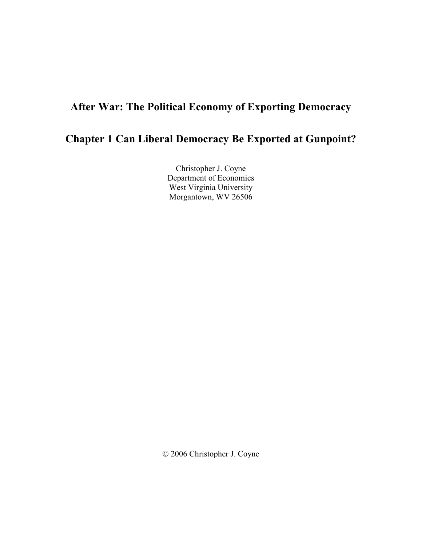# After War: The Political Economy of Exporting Democracy

# Chapter 1 Can Liberal Democracy Be Exported at Gunpoint?

Christopher J. Coyne Department of Economics West Virginia University Morgantown, WV 26506

© 2006 Christopher J. Coyne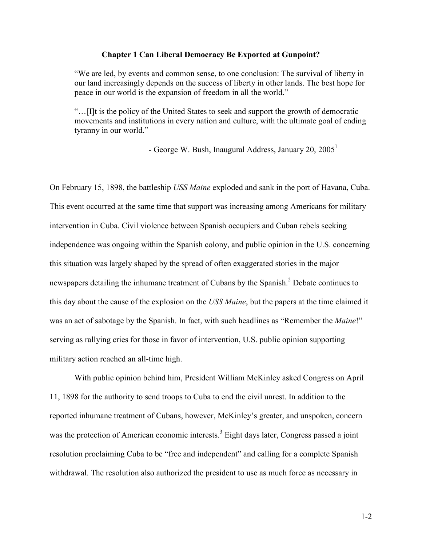## Chapter 1 Can Liberal Democracy Be Exported at Gunpoint?

"We are led, by events and common sense, to one conclusion: The survival of liberty in our land increasingly depends on the success of liberty in other lands. The best hope for peace in our world is the expansion of freedom in all the world."

"…[I]t is the policy of the United States to seek and support the growth of democratic movements and institutions in every nation and culture, with the ultimate goal of ending tyranny in our world."

- George W. Bush, Inaugural Address, January 20,  $2005<sup>1</sup>$ 

On February 15, 1898, the battleship USS Maine exploded and sank in the port of Havana, Cuba. This event occurred at the same time that support was increasing among Americans for military intervention in Cuba. Civil violence between Spanish occupiers and Cuban rebels seeking independence was ongoing within the Spanish colony, and public opinion in the U.S. concerning this situation was largely shaped by the spread of often exaggerated stories in the major newspapers detailing the inhumane treatment of Cubans by the Spanish.<sup>2</sup> Debate continues to this day about the cause of the explosion on the USS Maine, but the papers at the time claimed it was an act of sabotage by the Spanish. In fact, with such headlines as "Remember the *Maine!*" serving as rallying cries for those in favor of intervention, U.S. public opinion supporting military action reached an all-time high.

With public opinion behind him, President William McKinley asked Congress on April 11, 1898 for the authority to send troops to Cuba to end the civil unrest. In addition to the reported inhumane treatment of Cubans, however, McKinley's greater, and unspoken, concern was the protection of American economic interests.<sup>3</sup> Eight days later, Congress passed a joint resolution proclaiming Cuba to be "free and independent" and calling for a complete Spanish withdrawal. The resolution also authorized the president to use as much force as necessary in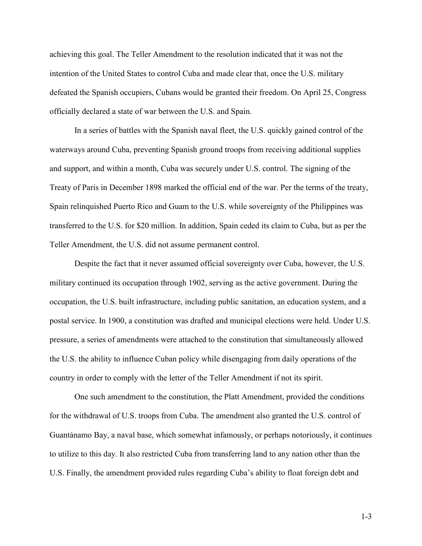achieving this goal. The Teller Amendment to the resolution indicated that it was not the intention of the United States to control Cuba and made clear that, once the U.S. military defeated the Spanish occupiers, Cubans would be granted their freedom. On April 25, Congress officially declared a state of war between the U.S. and Spain.

In a series of battles with the Spanish naval fleet, the U.S. quickly gained control of the waterways around Cuba, preventing Spanish ground troops from receiving additional supplies and support, and within a month, Cuba was securely under U.S. control. The signing of the Treaty of Paris in December 1898 marked the official end of the war. Per the terms of the treaty, Spain relinquished Puerto Rico and Guam to the U.S. while sovereignty of the Philippines was transferred to the U.S. for \$20 million. In addition, Spain ceded its claim to Cuba, but as per the Teller Amendment, the U.S. did not assume permanent control.

Despite the fact that it never assumed official sovereignty over Cuba, however, the U.S. military continued its occupation through 1902, serving as the active government. During the occupation, the U.S. built infrastructure, including public sanitation, an education system, and a postal service. In 1900, a constitution was drafted and municipal elections were held. Under U.S. pressure, a series of amendments were attached to the constitution that simultaneously allowed the U.S. the ability to influence Cuban policy while disengaging from daily operations of the country in order to comply with the letter of the Teller Amendment if not its spirit.

One such amendment to the constitution, the Platt Amendment, provided the conditions for the withdrawal of U.S. troops from Cuba. The amendment also granted the U.S. control of Guantánamo Bay, a naval base, which somewhat infamously, or perhaps notoriously, it continues to utilize to this day. It also restricted Cuba from transferring land to any nation other than the U.S. Finally, the amendment provided rules regarding Cuba's ability to float foreign debt and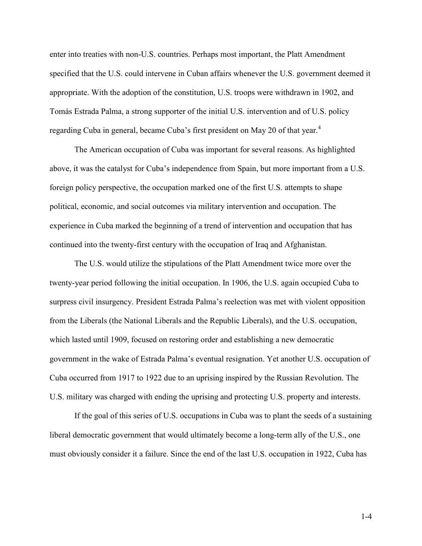enter into treaties with non-U.S. countries. Perhaps most important, the Platt Amendment specified that the U.S. could intervene in Cuban affairs whenever the U.S. government deemed it appropriate. With the adoption of the constitution, U.S. troops were withdrawn in 1902, and Tomás Estrada Palma, a strong supporter of the initial U.S. intervention and of U.S. policy regarding Cuba in general, became Cuba's first president on May 20 of that year.<sup>4</sup>

The American occupation of Cuba was important for several reasons. As highlighted above, it was the catalyst for Cuba's independence from Spain, but more important from a U.S. foreign policy perspective, the occupation marked one of the first U.S. attempts to shape political, economic, and social outcomes via military intervention and occupation. The experience in Cuba marked the beginning of a trend of intervention and occupation that has continued into the twenty-first century with the occupation of Iraq and Afghanistan.

The U.S. would utilize the stipulations of the Platt Amendment twice more over the twenty-year period following the initial occupation. In 1906, the U.S. again occupied Cuba to surpress civil insurgency. President Estrada Palma's reelection was met with violent opposition from the Liberals (the National Liberals and the Republic Liberals), and the U.S. occupation, which lasted until 1909, focused on restoring order and establishing a new democratic government in the wake of Estrada Palma's eventual resignation. Yet another U.S. occupation of Cuba occurred from 1917 to 1922 due to an uprising inspired by the Russian Revolution. The U.S. military was charged with ending the uprising and protecting U.S. property and interests.

If the goal of this series of U.S. occupations in Cuba was to plant the seeds of a sustaining liberal democratic government that would ultimately become a long-term ally of the U.S., one must obviously consider it a failure. Since the end of the last U.S. occupation in 1922, Cuba has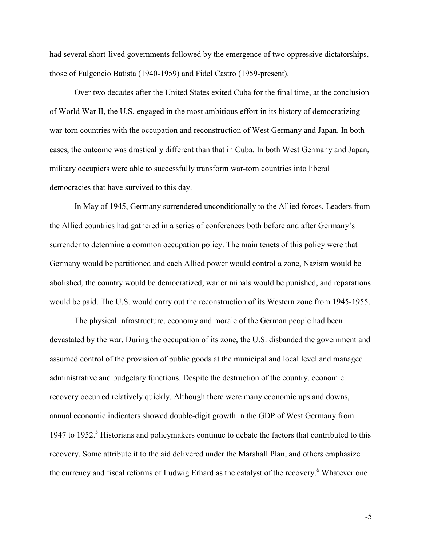had several short-lived governments followed by the emergence of two oppressive dictatorships, those of Fulgencio Batista (1940-1959) and Fidel Castro (1959-present).

Over two decades after the United States exited Cuba for the final time, at the conclusion of World War II, the U.S. engaged in the most ambitious effort in its history of democratizing war-torn countries with the occupation and reconstruction of West Germany and Japan. In both cases, the outcome was drastically different than that in Cuba. In both West Germany and Japan, military occupiers were able to successfully transform war-torn countries into liberal democracies that have survived to this day.

In May of 1945, Germany surrendered unconditionally to the Allied forces. Leaders from the Allied countries had gathered in a series of conferences both before and after Germany's surrender to determine a common occupation policy. The main tenets of this policy were that Germany would be partitioned and each Allied power would control a zone, Nazism would be abolished, the country would be democratized, war criminals would be punished, and reparations would be paid. The U.S. would carry out the reconstruction of its Western zone from 1945-1955.

The physical infrastructure, economy and morale of the German people had been devastated by the war. During the occupation of its zone, the U.S. disbanded the government and assumed control of the provision of public goods at the municipal and local level and managed administrative and budgetary functions. Despite the destruction of the country, economic recovery occurred relatively quickly. Although there were many economic ups and downs, annual economic indicators showed double-digit growth in the GDP of West Germany from 1947 to 1952.<sup>5</sup> Historians and policymakers continue to debate the factors that contributed to this recovery. Some attribute it to the aid delivered under the Marshall Plan, and others emphasize the currency and fiscal reforms of Ludwig Erhard as the catalyst of the recovery.<sup>6</sup> Whatever one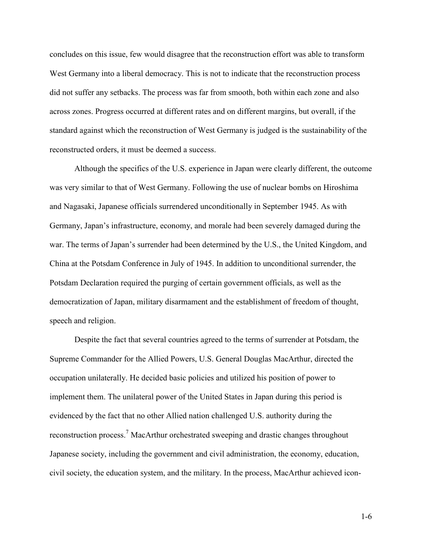concludes on this issue, few would disagree that the reconstruction effort was able to transform West Germany into a liberal democracy. This is not to indicate that the reconstruction process did not suffer any setbacks. The process was far from smooth, both within each zone and also across zones. Progress occurred at different rates and on different margins, but overall, if the standard against which the reconstruction of West Germany is judged is the sustainability of the reconstructed orders, it must be deemed a success.

Although the specifics of the U.S. experience in Japan were clearly different, the outcome was very similar to that of West Germany. Following the use of nuclear bombs on Hiroshima and Nagasaki, Japanese officials surrendered unconditionally in September 1945. As with Germany, Japan's infrastructure, economy, and morale had been severely damaged during the war. The terms of Japan's surrender had been determined by the U.S., the United Kingdom, and China at the Potsdam Conference in July of 1945. In addition to unconditional surrender, the Potsdam Declaration required the purging of certain government officials, as well as the democratization of Japan, military disarmament and the establishment of freedom of thought, speech and religion.

Despite the fact that several countries agreed to the terms of surrender at Potsdam, the Supreme Commander for the Allied Powers, U.S. General Douglas MacArthur, directed the occupation unilaterally. He decided basic policies and utilized his position of power to implement them. The unilateral power of the United States in Japan during this period is evidenced by the fact that no other Allied nation challenged U.S. authority during the reconstruction process.<sup>7</sup> MacArthur orchestrated sweeping and drastic changes throughout Japanese society, including the government and civil administration, the economy, education, civil society, the education system, and the military. In the process, MacArthur achieved icon-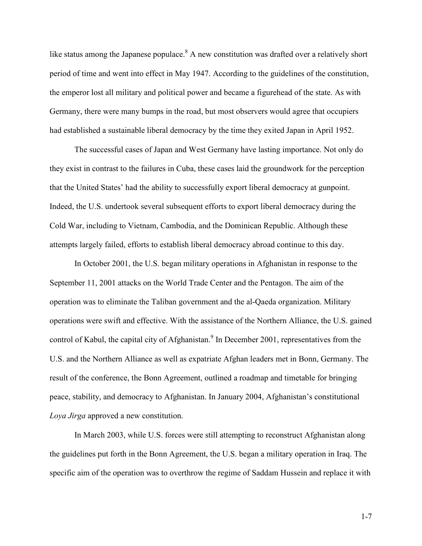like status among the Japanese populace.<sup>8</sup> A new constitution was drafted over a relatively short period of time and went into effect in May 1947. According to the guidelines of the constitution, the emperor lost all military and political power and became a figurehead of the state. As with Germany, there were many bumps in the road, but most observers would agree that occupiers had established a sustainable liberal democracy by the time they exited Japan in April 1952.

The successful cases of Japan and West Germany have lasting importance. Not only do they exist in contrast to the failures in Cuba, these cases laid the groundwork for the perception that the United States' had the ability to successfully export liberal democracy at gunpoint. Indeed, the U.S. undertook several subsequent efforts to export liberal democracy during the Cold War, including to Vietnam, Cambodia, and the Dominican Republic. Although these attempts largely failed, efforts to establish liberal democracy abroad continue to this day.

In October 2001, the U.S. began military operations in Afghanistan in response to the September 11, 2001 attacks on the World Trade Center and the Pentagon. The aim of the operation was to eliminate the Taliban government and the al-Qaeda organization. Military operations were swift and effective. With the assistance of the Northern Alliance, the U.S. gained control of Kabul, the capital city of Afghanistan.<sup>9</sup> In December 2001, representatives from the U.S. and the Northern Alliance as well as expatriate Afghan leaders met in Bonn, Germany. The result of the conference, the Bonn Agreement, outlined a roadmap and timetable for bringing peace, stability, and democracy to Afghanistan. In January 2004, Afghanistan's constitutional Loya Jirga approved a new constitution.

In March 2003, while U.S. forces were still attempting to reconstruct Afghanistan along the guidelines put forth in the Bonn Agreement, the U.S. began a military operation in Iraq. The specific aim of the operation was to overthrow the regime of Saddam Hussein and replace it with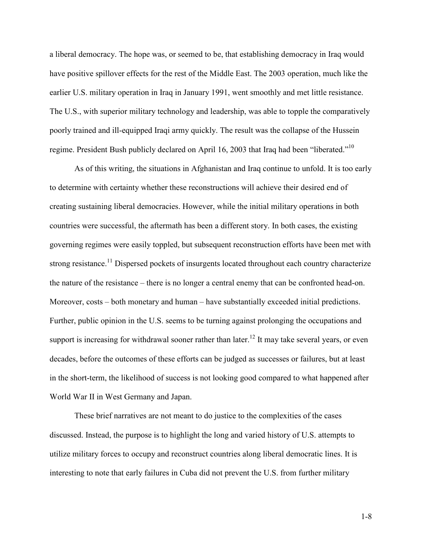a liberal democracy. The hope was, or seemed to be, that establishing democracy in Iraq would have positive spillover effects for the rest of the Middle East. The 2003 operation, much like the earlier U.S. military operation in Iraq in January 1991, went smoothly and met little resistance. The U.S., with superior military technology and leadership, was able to topple the comparatively poorly trained and ill-equipped Iraqi army quickly. The result was the collapse of the Hussein regime. President Bush publicly declared on April 16, 2003 that Iraq had been "liberated."<sup>10</sup>

As of this writing, the situations in Afghanistan and Iraq continue to unfold. It is too early to determine with certainty whether these reconstructions will achieve their desired end of creating sustaining liberal democracies. However, while the initial military operations in both countries were successful, the aftermath has been a different story. In both cases, the existing governing regimes were easily toppled, but subsequent reconstruction efforts have been met with strong resistance.<sup>11</sup> Dispersed pockets of insurgents located throughout each country characterize the nature of the resistance – there is no longer a central enemy that can be confronted head-on. Moreover, costs – both monetary and human – have substantially exceeded initial predictions. Further, public opinion in the U.S. seems to be turning against prolonging the occupations and support is increasing for withdrawal sooner rather than later.<sup>12</sup> It may take several years, or even decades, before the outcomes of these efforts can be judged as successes or failures, but at least in the short-term, the likelihood of success is not looking good compared to what happened after World War II in West Germany and Japan.

These brief narratives are not meant to do justice to the complexities of the cases discussed. Instead, the purpose is to highlight the long and varied history of U.S. attempts to utilize military forces to occupy and reconstruct countries along liberal democratic lines. It is interesting to note that early failures in Cuba did not prevent the U.S. from further military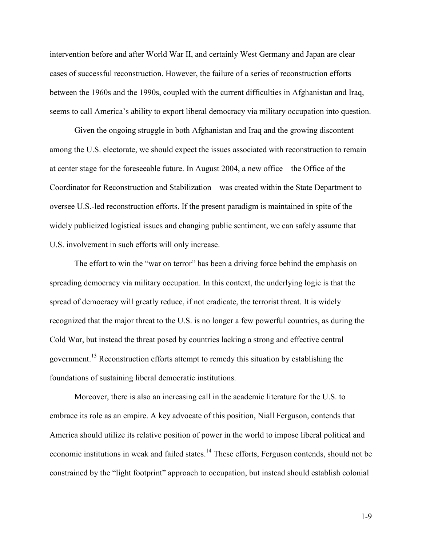intervention before and after World War II, and certainly West Germany and Japan are clear cases of successful reconstruction. However, the failure of a series of reconstruction efforts between the 1960s and the 1990s, coupled with the current difficulties in Afghanistan and Iraq, seems to call America's ability to export liberal democracy via military occupation into question.

Given the ongoing struggle in both Afghanistan and Iraq and the growing discontent among the U.S. electorate, we should expect the issues associated with reconstruction to remain at center stage for the foreseeable future. In August 2004, a new office – the Office of the Coordinator for Reconstruction and Stabilization – was created within the State Department to oversee U.S.-led reconstruction efforts. If the present paradigm is maintained in spite of the widely publicized logistical issues and changing public sentiment, we can safely assume that U.S. involvement in such efforts will only increase.

The effort to win the "war on terror" has been a driving force behind the emphasis on spreading democracy via military occupation. In this context, the underlying logic is that the spread of democracy will greatly reduce, if not eradicate, the terrorist threat. It is widely recognized that the major threat to the U.S. is no longer a few powerful countries, as during the Cold War, but instead the threat posed by countries lacking a strong and effective central government.<sup>13</sup> Reconstruction efforts attempt to remedy this situation by establishing the foundations of sustaining liberal democratic institutions.

Moreover, there is also an increasing call in the academic literature for the U.S. to embrace its role as an empire. A key advocate of this position, Niall Ferguson, contends that America should utilize its relative position of power in the world to impose liberal political and economic institutions in weak and failed states.<sup>14</sup> These efforts, Ferguson contends, should not be constrained by the "light footprint" approach to occupation, but instead should establish colonial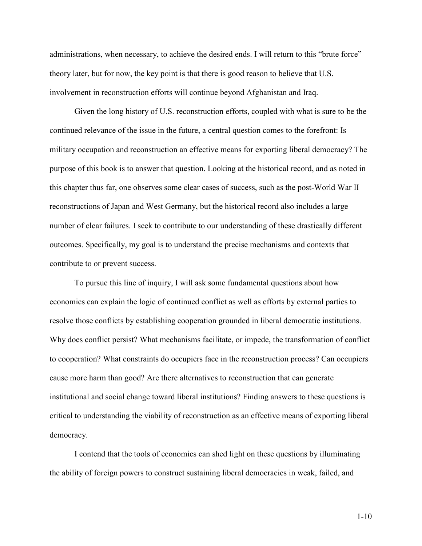administrations, when necessary, to achieve the desired ends. I will return to this "brute force" theory later, but for now, the key point is that there is good reason to believe that U.S. involvement in reconstruction efforts will continue beyond Afghanistan and Iraq.

Given the long history of U.S. reconstruction efforts, coupled with what is sure to be the continued relevance of the issue in the future, a central question comes to the forefront: Is military occupation and reconstruction an effective means for exporting liberal democracy? The purpose of this book is to answer that question. Looking at the historical record, and as noted in this chapter thus far, one observes some clear cases of success, such as the post-World War II reconstructions of Japan and West Germany, but the historical record also includes a large number of clear failures. I seek to contribute to our understanding of these drastically different outcomes. Specifically, my goal is to understand the precise mechanisms and contexts that contribute to or prevent success.

To pursue this line of inquiry, I will ask some fundamental questions about how economics can explain the logic of continued conflict as well as efforts by external parties to resolve those conflicts by establishing cooperation grounded in liberal democratic institutions. Why does conflict persist? What mechanisms facilitate, or impede, the transformation of conflict to cooperation? What constraints do occupiers face in the reconstruction process? Can occupiers cause more harm than good? Are there alternatives to reconstruction that can generate institutional and social change toward liberal institutions? Finding answers to these questions is critical to understanding the viability of reconstruction as an effective means of exporting liberal democracy.

I contend that the tools of economics can shed light on these questions by illuminating the ability of foreign powers to construct sustaining liberal democracies in weak, failed, and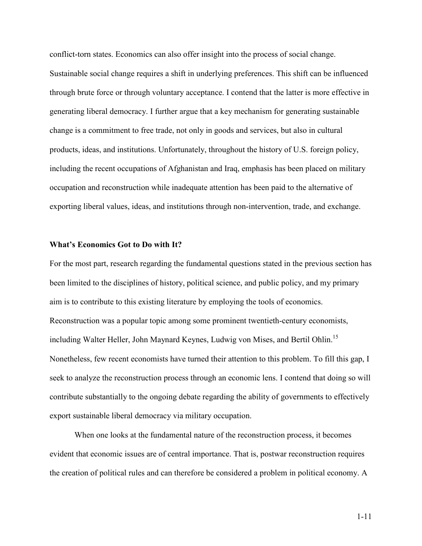conflict-torn states. Economics can also offer insight into the process of social change. Sustainable social change requires a shift in underlying preferences. This shift can be influenced through brute force or through voluntary acceptance. I contend that the latter is more effective in generating liberal democracy. I further argue that a key mechanism for generating sustainable change is a commitment to free trade, not only in goods and services, but also in cultural products, ideas, and institutions. Unfortunately, throughout the history of U.S. foreign policy, including the recent occupations of Afghanistan and Iraq, emphasis has been placed on military occupation and reconstruction while inadequate attention has been paid to the alternative of exporting liberal values, ideas, and institutions through non-intervention, trade, and exchange.

### What's Economics Got to Do with It?

For the most part, research regarding the fundamental questions stated in the previous section has been limited to the disciplines of history, political science, and public policy, and my primary aim is to contribute to this existing literature by employing the tools of economics. Reconstruction was a popular topic among some prominent twentieth-century economists, including Walter Heller, John Maynard Keynes, Ludwig von Mises, and Bertil Ohlin.<sup>15</sup> Nonetheless, few recent economists have turned their attention to this problem. To fill this gap, I seek to analyze the reconstruction process through an economic lens. I contend that doing so will contribute substantially to the ongoing debate regarding the ability of governments to effectively export sustainable liberal democracy via military occupation.

When one looks at the fundamental nature of the reconstruction process, it becomes evident that economic issues are of central importance. That is, postwar reconstruction requires the creation of political rules and can therefore be considered a problem in political economy. A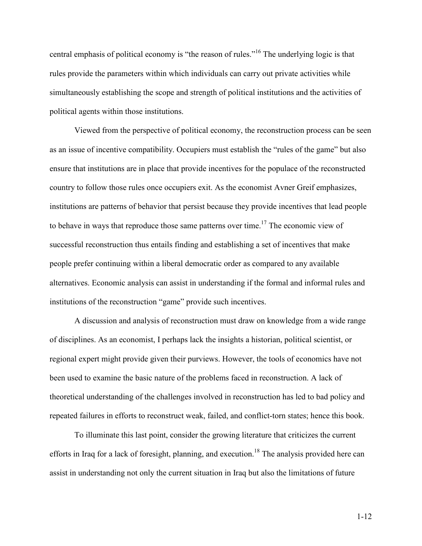central emphasis of political economy is "the reason of rules."<sup>16</sup> The underlying logic is that rules provide the parameters within which individuals can carry out private activities while simultaneously establishing the scope and strength of political institutions and the activities of political agents within those institutions.

Viewed from the perspective of political economy, the reconstruction process can be seen as an issue of incentive compatibility. Occupiers must establish the "rules of the game" but also ensure that institutions are in place that provide incentives for the populace of the reconstructed country to follow those rules once occupiers exit. As the economist Avner Greif emphasizes, institutions are patterns of behavior that persist because they provide incentives that lead people to behave in ways that reproduce those same patterns over time.<sup>17</sup> The economic view of successful reconstruction thus entails finding and establishing a set of incentives that make people prefer continuing within a liberal democratic order as compared to any available alternatives. Economic analysis can assist in understanding if the formal and informal rules and institutions of the reconstruction "game" provide such incentives.

A discussion and analysis of reconstruction must draw on knowledge from a wide range of disciplines. As an economist, I perhaps lack the insights a historian, political scientist, or regional expert might provide given their purviews. However, the tools of economics have not been used to examine the basic nature of the problems faced in reconstruction. A lack of theoretical understanding of the challenges involved in reconstruction has led to bad policy and repeated failures in efforts to reconstruct weak, failed, and conflict-torn states; hence this book.

To illuminate this last point, consider the growing literature that criticizes the current efforts in Iraq for a lack of foresight, planning, and execution.<sup>18</sup> The analysis provided here can assist in understanding not only the current situation in Iraq but also the limitations of future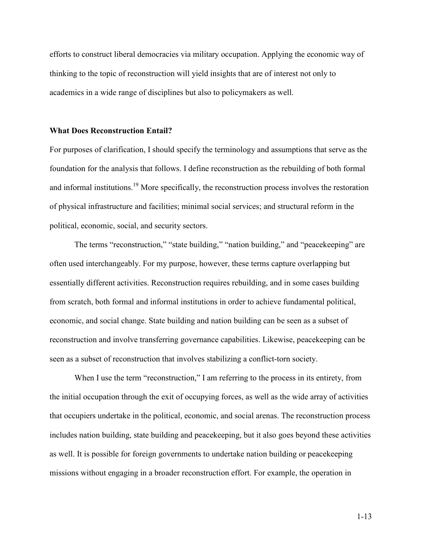efforts to construct liberal democracies via military occupation. Applying the economic way of thinking to the topic of reconstruction will yield insights that are of interest not only to academics in a wide range of disciplines but also to policymakers as well.

### What Does Reconstruction Entail?

For purposes of clarification, I should specify the terminology and assumptions that serve as the foundation for the analysis that follows. I define reconstruction as the rebuilding of both formal and informal institutions.<sup>19</sup> More specifically, the reconstruction process involves the restoration of physical infrastructure and facilities; minimal social services; and structural reform in the political, economic, social, and security sectors.

The terms "reconstruction," "state building," "nation building," and "peacekeeping" are often used interchangeably. For my purpose, however, these terms capture overlapping but essentially different activities. Reconstruction requires rebuilding, and in some cases building from scratch, both formal and informal institutions in order to achieve fundamental political, economic, and social change. State building and nation building can be seen as a subset of reconstruction and involve transferring governance capabilities. Likewise, peacekeeping can be seen as a subset of reconstruction that involves stabilizing a conflict-torn society.

When I use the term "reconstruction," I am referring to the process in its entirety, from the initial occupation through the exit of occupying forces, as well as the wide array of activities that occupiers undertake in the political, economic, and social arenas. The reconstruction process includes nation building, state building and peacekeeping, but it also goes beyond these activities as well. It is possible for foreign governments to undertake nation building or peacekeeping missions without engaging in a broader reconstruction effort. For example, the operation in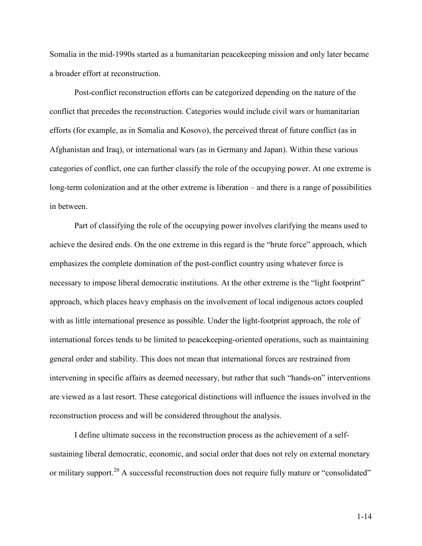Somalia in the mid-1990s started as a humanitarian peacekeeping mission and only later became a broader effort at reconstruction.

Post-conflict reconstruction efforts can be categorized depending on the nature of the conflict that precedes the reconstruction. Categories would include civil wars or humanitarian efforts (for example, as in Somalia and Kosovo), the perceived threat of future conflict (as in Afghanistan and Iraq), or international wars (as in Germany and Japan). Within these various categories of conflict, one can further classify the role of the occupying power. At one extreme is long-term colonization and at the other extreme is liberation – and there is a range of possibilities in between.

Part of classifying the role of the occupying power involves clarifying the means used to achieve the desired ends. On the one extreme in this regard is the "brute force" approach, which emphasizes the complete domination of the post-conflict country using whatever force is necessary to impose liberal democratic institutions. At the other extreme is the "light footprint" approach, which places heavy emphasis on the involvement of local indigenous actors coupled with as little international presence as possible. Under the light-footprint approach, the role of international forces tends to be limited to peacekeeping-oriented operations, such as maintaining general order and stability. This does not mean that international forces are restrained from intervening in specific affairs as deemed necessary, but rather that such "hands-on" interventions are viewed as a last resort. These categorical distinctions will influence the issues involved in the reconstruction process and will be considered throughout the analysis.

I define ultimate success in the reconstruction process as the achievement of a selfsustaining liberal democratic, economic, and social order that does not rely on external monetary or military support.<sup>20</sup> A successful reconstruction does not require fully mature or "consolidated"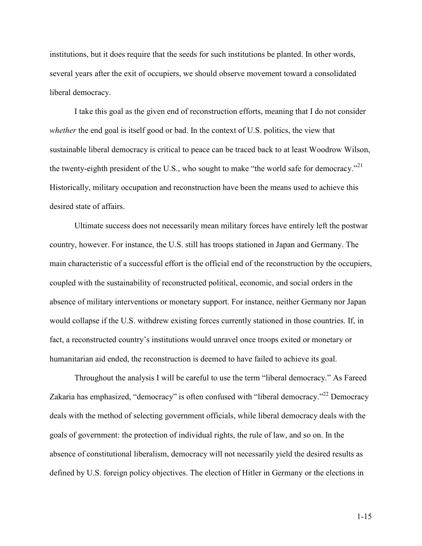institutions, but it does require that the seeds for such institutions be planted. In other words, several years after the exit of occupiers, we should observe movement toward a consolidated liberal democracy.

I take this goal as the given end of reconstruction efforts, meaning that I do not consider whether the end goal is itself good or bad. In the context of U.S. politics, the view that sustainable liberal democracy is critical to peace can be traced back to at least Woodrow Wilson, the twenty-eighth president of the U.S., who sought to make "the world safe for democracy."<sup>21</sup> Historically, military occupation and reconstruction have been the means used to achieve this desired state of affairs.

Ultimate success does not necessarily mean military forces have entirely left the postwar country, however. For instance, the U.S. still has troops stationed in Japan and Germany. The main characteristic of a successful effort is the official end of the reconstruction by the occupiers, coupled with the sustainability of reconstructed political, economic, and social orders in the absence of military interventions or monetary support. For instance, neither Germany nor Japan would collapse if the U.S. withdrew existing forces currently stationed in those countries. If, in fact, a reconstructed country's institutions would unravel once troops exited or monetary or humanitarian aid ended, the reconstruction is deemed to have failed to achieve its goal.

Throughout the analysis I will be careful to use the term "liberal democracy." As Fareed Zakaria has emphasized, "democracy" is often confused with "liberal democracy."<sup>22</sup> Democracy deals with the method of selecting government officials, while liberal democracy deals with the goals of government: the protection of individual rights, the rule of law, and so on. In the absence of constitutional liberalism, democracy will not necessarily yield the desired results as defined by U.S. foreign policy objectives. The election of Hitler in Germany or the elections in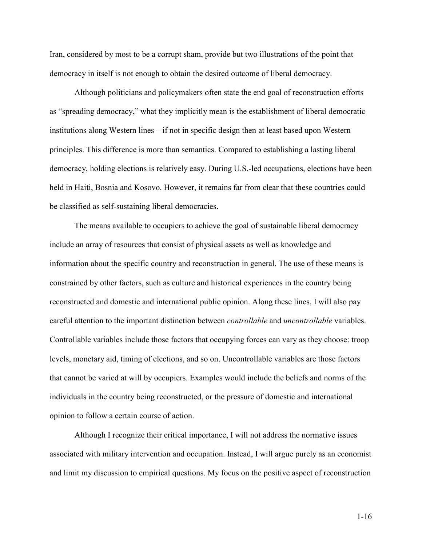Iran, considered by most to be a corrupt sham, provide but two illustrations of the point that democracy in itself is not enough to obtain the desired outcome of liberal democracy.

Although politicians and policymakers often state the end goal of reconstruction efforts as "spreading democracy," what they implicitly mean is the establishment of liberal democratic institutions along Western lines – if not in specific design then at least based upon Western principles. This difference is more than semantics. Compared to establishing a lasting liberal democracy, holding elections is relatively easy. During U.S.-led occupations, elections have been held in Haiti, Bosnia and Kosovo. However, it remains far from clear that these countries could be classified as self-sustaining liberal democracies.

The means available to occupiers to achieve the goal of sustainable liberal democracy include an array of resources that consist of physical assets as well as knowledge and information about the specific country and reconstruction in general. The use of these means is constrained by other factors, such as culture and historical experiences in the country being reconstructed and domestic and international public opinion. Along these lines, I will also pay careful attention to the important distinction between controllable and uncontrollable variables. Controllable variables include those factors that occupying forces can vary as they choose: troop levels, monetary aid, timing of elections, and so on. Uncontrollable variables are those factors that cannot be varied at will by occupiers. Examples would include the beliefs and norms of the individuals in the country being reconstructed, or the pressure of domestic and international opinion to follow a certain course of action.

Although I recognize their critical importance, I will not address the normative issues associated with military intervention and occupation. Instead, I will argue purely as an economist and limit my discussion to empirical questions. My focus on the positive aspect of reconstruction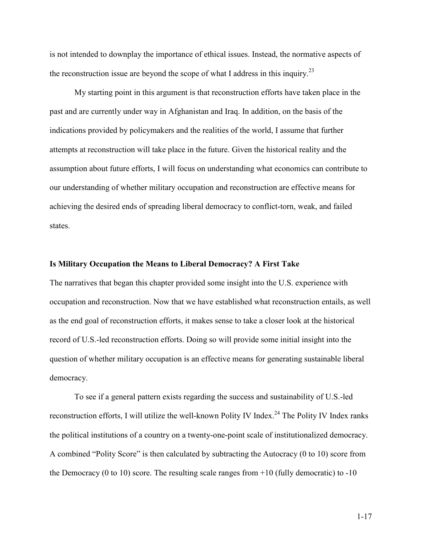is not intended to downplay the importance of ethical issues. Instead, the normative aspects of the reconstruction issue are beyond the scope of what I address in this inquiry.<sup>23</sup>

My starting point in this argument is that reconstruction efforts have taken place in the past and are currently under way in Afghanistan and Iraq. In addition, on the basis of the indications provided by policymakers and the realities of the world, I assume that further attempts at reconstruction will take place in the future. Given the historical reality and the assumption about future efforts, I will focus on understanding what economics can contribute to our understanding of whether military occupation and reconstruction are effective means for achieving the desired ends of spreading liberal democracy to conflict-torn, weak, and failed states.

## Is Military Occupation the Means to Liberal Democracy? A First Take

The narratives that began this chapter provided some insight into the U.S. experience with occupation and reconstruction. Now that we have established what reconstruction entails, as well as the end goal of reconstruction efforts, it makes sense to take a closer look at the historical record of U.S.-led reconstruction efforts. Doing so will provide some initial insight into the question of whether military occupation is an effective means for generating sustainable liberal democracy.

To see if a general pattern exists regarding the success and sustainability of U.S.-led reconstruction efforts, I will utilize the well-known Polity IV Index.<sup>24</sup> The Polity IV Index ranks the political institutions of a country on a twenty-one-point scale of institutionalized democracy. A combined "Polity Score" is then calculated by subtracting the Autocracy (0 to 10) score from the Democracy (0 to 10) score. The resulting scale ranges from  $+10$  (fully democratic) to  $-10$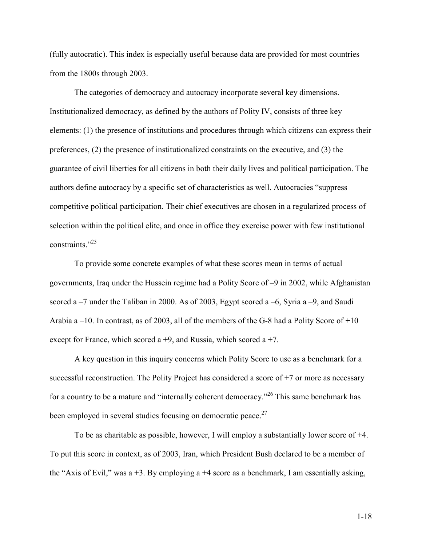(fully autocratic). This index is especially useful because data are provided for most countries from the 1800s through 2003.

The categories of democracy and autocracy incorporate several key dimensions. Institutionalized democracy, as defined by the authors of Polity IV, consists of three key elements: (1) the presence of institutions and procedures through which citizens can express their preferences, (2) the presence of institutionalized constraints on the executive, and (3) the guarantee of civil liberties for all citizens in both their daily lives and political participation. The authors define autocracy by a specific set of characteristics as well. Autocracies "suppress competitive political participation. Their chief executives are chosen in a regularized process of selection within the political elite, and once in office they exercise power with few institutional constraints."<sup>25</sup>

To provide some concrete examples of what these scores mean in terms of actual governments, Iraq under the Hussein regime had a Polity Score of –9 in 2002, while Afghanistan scored a –7 under the Taliban in 2000. As of 2003, Egypt scored a –6, Syria a –9, and Saudi Arabia a –10. In contrast, as of 2003, all of the members of the G-8 had a Polity Score of +10 except for France, which scored a  $+9$ , and Russia, which scored a  $+7$ .

A key question in this inquiry concerns which Polity Score to use as a benchmark for a successful reconstruction. The Polity Project has considered a score of +7 or more as necessary for a country to be a mature and "internally coherent democracy."<sup>26</sup> This same benchmark has been employed in several studies focusing on democratic peace.<sup>27</sup>

To be as charitable as possible, however, I will employ a substantially lower score of +4. To put this score in context, as of 2003, Iran, which President Bush declared to be a member of the "Axis of Evil," was a  $+3$ . By employing a  $+4$  score as a benchmark, I am essentially asking,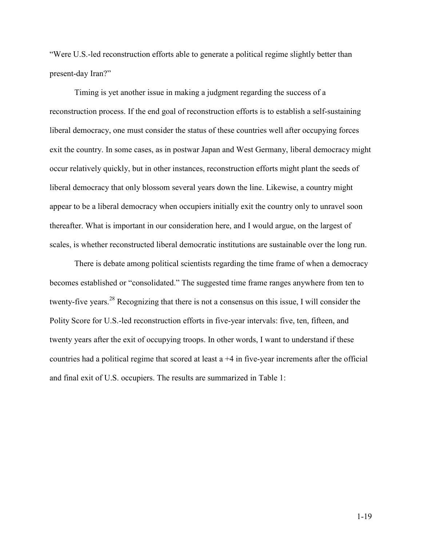"Were U.S.-led reconstruction efforts able to generate a political regime slightly better than present-day Iran?"

Timing is yet another issue in making a judgment regarding the success of a reconstruction process. If the end goal of reconstruction efforts is to establish a self-sustaining liberal democracy, one must consider the status of these countries well after occupying forces exit the country. In some cases, as in postwar Japan and West Germany, liberal democracy might occur relatively quickly, but in other instances, reconstruction efforts might plant the seeds of liberal democracy that only blossom several years down the line. Likewise, a country might appear to be a liberal democracy when occupiers initially exit the country only to unravel soon thereafter. What is important in our consideration here, and I would argue, on the largest of scales, is whether reconstructed liberal democratic institutions are sustainable over the long run.

There is debate among political scientists regarding the time frame of when a democracy becomes established or "consolidated." The suggested time frame ranges anywhere from ten to twenty-five years.<sup>28</sup> Recognizing that there is not a consensus on this issue, I will consider the Polity Score for U.S.-led reconstruction efforts in five-year intervals: five, ten, fifteen, and twenty years after the exit of occupying troops. In other words, I want to understand if these countries had a political regime that scored at least a +4 in five-year increments after the official and final exit of U.S. occupiers. The results are summarized in Table 1: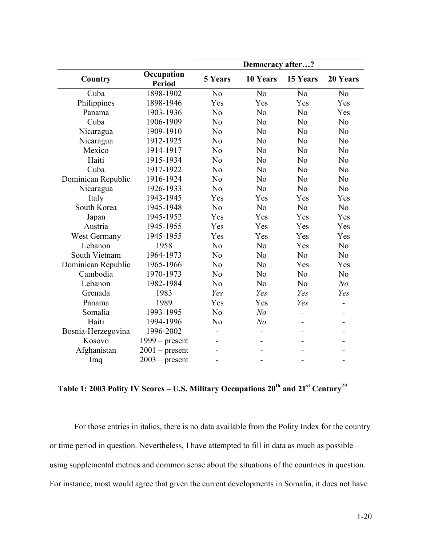|                    |                             | Democracy after? |                |                |                |  |
|--------------------|-----------------------------|------------------|----------------|----------------|----------------|--|
| Country            | Occupation<br><b>Period</b> | <b>5 Years</b>   | 10 Years       | 15 Years       | 20 Years       |  |
| Cuba               | 1898-1902                   | No               | N <sub>o</sub> | N <sub>o</sub> | N <sub>o</sub> |  |
| Philippines        | 1898-1946                   | Yes              | Yes            | Yes            | Yes            |  |
| Panama             | 1903-1936                   | N <sub>o</sub>   | N <sub>o</sub> | N <sub>o</sub> | Yes            |  |
| Cuba               | 1906-1909                   | N <sub>o</sub>   | N <sub>o</sub> | N <sub>o</sub> | N <sub>o</sub> |  |
| Nicaragua          | 1909-1910                   | N <sub>o</sub>   | N <sub>o</sub> | N <sub>o</sub> | N <sub>o</sub> |  |
| Nicaragua          | 1912-1925                   | N <sub>o</sub>   | N <sub>o</sub> | N <sub>o</sub> | N <sub>o</sub> |  |
| Mexico             | 1914-1917                   | N <sub>o</sub>   | N <sub>o</sub> | N <sub>o</sub> | N <sub>o</sub> |  |
| Haiti              | 1915-1934                   | N <sub>o</sub>   | N <sub>o</sub> | N <sub>o</sub> | N <sub>o</sub> |  |
| Cuba               | 1917-1922                   | N <sub>o</sub>   | N <sub>o</sub> | N <sub>o</sub> | N <sub>o</sub> |  |
| Dominican Republic | 1916-1924                   | N <sub>o</sub>   | N <sub>o</sub> | N <sub>o</sub> | N <sub>o</sub> |  |
| Nicaragua          | 1926-1933                   | N <sub>o</sub>   | N <sub>o</sub> | N <sub>o</sub> | N <sub>0</sub> |  |
| Italy              | 1943-1945                   | Yes              | Yes            | Yes            | Yes            |  |
| South Korea        | 1945-1948                   | N <sub>o</sub>   | N <sub>o</sub> | N <sub>o</sub> | N <sub>o</sub> |  |
| Japan              | 1945-1952                   | Yes              | Yes            | Yes            | Yes            |  |
| Austria            | 1945-1955                   | Yes              | Yes            | Yes            | Yes            |  |
| West Germany       | 1945-1955                   | Yes              | Yes            | Yes            | Yes            |  |
| Lebanon            | 1958                        | N <sub>o</sub>   | N <sub>o</sub> | Yes            | N <sub>0</sub> |  |
| South Vietnam      | 1964-1973                   | N <sub>o</sub>   | N <sub>o</sub> | N <sub>o</sub> | N <sub>0</sub> |  |
| Dominican Republic | 1965-1966                   | N <sub>o</sub>   | N <sub>o</sub> | Yes            | Yes            |  |
| Cambodia           | 1970-1973                   | N <sub>o</sub>   | N <sub>o</sub> | N <sub>o</sub> | N <sub>o</sub> |  |
| Lebanon            | 1982-1984                   | N <sub>o</sub>   | N <sub>o</sub> | N <sub>o</sub> | N <sub>o</sub> |  |
| Grenada            | 1983                        | Yes              | Yes            | Yes            | Yes            |  |
| Panama             | 1989                        | Yes              | Yes            | Yes            |                |  |
| Somalia            | 1993-1995                   | N <sub>o</sub>   | N <sub>o</sub> |                |                |  |
| Haiti              | 1994-1996                   | N <sub>0</sub>   | N <sub>o</sub> |                |                |  |
| Bosnia-Herzegovina | 1996-2002                   |                  |                |                |                |  |
| Kosovo             | $1999 - present$            |                  |                |                |                |  |
| Afghanistan        | $2001$ – present            |                  |                |                |                |  |
| Iraq               | $2003$ – present            |                  |                |                |                |  |

# Table 1: 2003 Polity IV Scores – U.S. Military Occupations  $20^{th}$  and  $21^{st}$  Century<sup>29</sup>

For those entries in italics, there is no data available from the Polity Index for the country or time period in question. Nevertheless, I have attempted to fill in data as much as possible using supplemental metrics and common sense about the situations of the countries in question. For instance, most would agree that given the current developments in Somalia, it does not have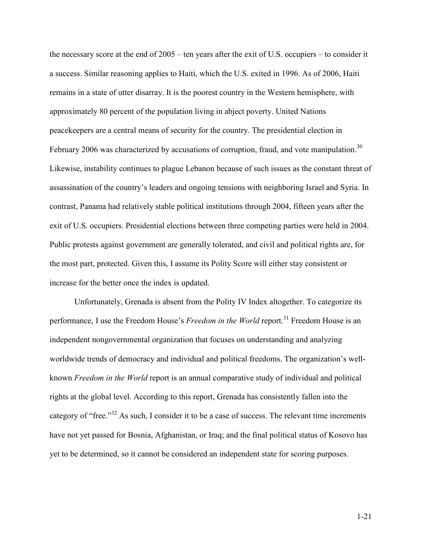the necessary score at the end of 2005 – ten years after the exit of U.S. occupiers – to consider it a success. Similar reasoning applies to Haiti, which the U.S. exited in 1996. As of 2006, Haiti remains in a state of utter disarray. It is the poorest country in the Western hemisphere, with approximately 80 percent of the population living in abject poverty. United Nations peacekeepers are a central means of security for the country. The presidential election in February 2006 was characterized by accusations of corruption, fraud, and vote manipulation.<sup>30</sup> Likewise, instability continues to plague Lebanon because of such issues as the constant threat of assassination of the country's leaders and ongoing tensions with neighboring Israel and Syria. In contrast, Panama had relatively stable political institutions through 2004, fifteen years after the exit of U.S. occupiers. Presidential elections between three competing parties were held in 2004. Public protests against government are generally tolerated, and civil and political rights are, for the most part, protected. Given this, I assume its Polity Score will either stay consistent or increase for the better once the index is updated.

Unfortunately, Grenada is absent from the Polity IV Index altogether. To categorize its performance, I use the Freedom House's Freedom in the World report.<sup>31</sup> Freedom House is an independent nongovernmental organization that focuses on understanding and analyzing worldwide trends of democracy and individual and political freedoms. The organization's wellknown Freedom in the World report is an annual comparative study of individual and political rights at the global level. According to this report, Grenada has consistently fallen into the category of "free."<sup>32</sup> As such, I consider it to be a case of success. The relevant time increments have not yet passed for Bosnia, Afghanistan, or Iraq; and the final political status of Kosovo has yet to be determined, so it cannot be considered an independent state for scoring purposes.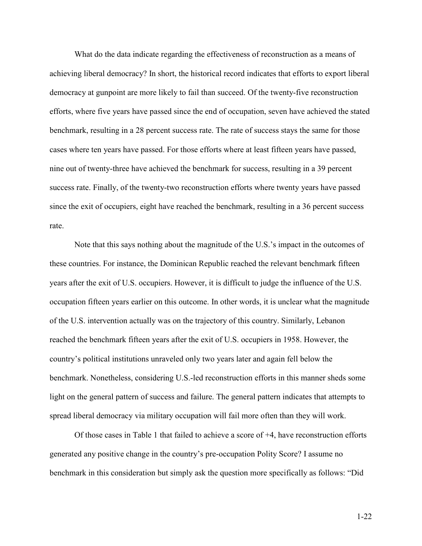What do the data indicate regarding the effectiveness of reconstruction as a means of achieving liberal democracy? In short, the historical record indicates that efforts to export liberal democracy at gunpoint are more likely to fail than succeed. Of the twenty-five reconstruction efforts, where five years have passed since the end of occupation, seven have achieved the stated benchmark, resulting in a 28 percent success rate. The rate of success stays the same for those cases where ten years have passed. For those efforts where at least fifteen years have passed, nine out of twenty-three have achieved the benchmark for success, resulting in a 39 percent success rate. Finally, of the twenty-two reconstruction efforts where twenty years have passed since the exit of occupiers, eight have reached the benchmark, resulting in a 36 percent success rate.

Note that this says nothing about the magnitude of the U.S.'s impact in the outcomes of these countries. For instance, the Dominican Republic reached the relevant benchmark fifteen years after the exit of U.S. occupiers. However, it is difficult to judge the influence of the U.S. occupation fifteen years earlier on this outcome. In other words, it is unclear what the magnitude of the U.S. intervention actually was on the trajectory of this country. Similarly, Lebanon reached the benchmark fifteen years after the exit of U.S. occupiers in 1958. However, the country's political institutions unraveled only two years later and again fell below the benchmark. Nonetheless, considering U.S.-led reconstruction efforts in this manner sheds some light on the general pattern of success and failure. The general pattern indicates that attempts to spread liberal democracy via military occupation will fail more often than they will work.

Of those cases in Table 1 that failed to achieve a score of +4, have reconstruction efforts generated any positive change in the country's pre-occupation Polity Score? I assume no benchmark in this consideration but simply ask the question more specifically as follows: "Did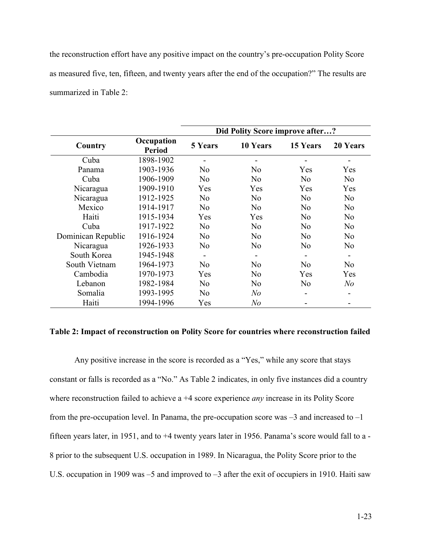the reconstruction effort have any positive impact on the country's pre-occupation Polity Score as measured five, ten, fifteen, and twenty years after the end of the occupation?" The results are summarized in Table 2:

|                    |                             | Did Polity Score improve after? |                |                |                |  |  |
|--------------------|-----------------------------|---------------------------------|----------------|----------------|----------------|--|--|
| Country            | Occupation<br><b>Period</b> | <b>5 Years</b>                  | 10 Years       | 15 Years       | 20 Years       |  |  |
| Cuba               | 1898-1902                   |                                 |                |                |                |  |  |
| Panama             | 1903-1936                   | N <sub>0</sub>                  | N <sub>0</sub> | Yes            | Yes            |  |  |
| Cuba               | 1906-1909                   | N <sub>0</sub>                  | N <sub>0</sub> | N <sub>0</sub> | N <sub>0</sub> |  |  |
| Nicaragua          | 1909-1910                   | Yes                             | Yes            | Yes            | Yes            |  |  |
| Nicaragua          | 1912-1925                   | N <sub>0</sub>                  | N <sub>o</sub> | N <sub>0</sub> | N <sub>0</sub> |  |  |
| Mexico             | 1914-1917                   | No                              | No             | N <sub>0</sub> | N <sub>0</sub> |  |  |
| Haiti              | 1915-1934                   | Yes                             | Yes            | N <sub>0</sub> | N <sub>0</sub> |  |  |
| Cuba               | 1917-1922                   | N <sub>0</sub>                  | N <sub>0</sub> | N <sub>0</sub> | N <sub>0</sub> |  |  |
| Dominican Republic | 1916-1924                   | N <sub>0</sub>                  | N <sub>0</sub> | N <sub>0</sub> | N <sub>0</sub> |  |  |
| Nicaragua          | 1926-1933                   | N <sub>0</sub>                  | N <sub>0</sub> | N <sub>0</sub> | N <sub>0</sub> |  |  |
| South Korea        | 1945-1948                   |                                 |                |                |                |  |  |
| South Vietnam      | 1964-1973                   | N <sub>0</sub>                  | No             | No             | N <sub>0</sub> |  |  |
| Cambodia           | 1970-1973                   | Yes                             | N <sub>0</sub> | Yes            | Yes            |  |  |
| Lebanon            | 1982-1984                   | N <sub>0</sub>                  | No             | N <sub>0</sub> | N <sub>o</sub> |  |  |
| Somalia            | 1993-1995                   | N <sub>0</sub>                  | N <sub>o</sub> |                |                |  |  |
| Haiti              | 1994-1996                   | Yes                             | N <sub>o</sub> |                |                |  |  |

### Table 2: Impact of reconstruction on Polity Score for countries where reconstruction failed

Any positive increase in the score is recorded as a "Yes," while any score that stays constant or falls is recorded as a "No." As Table 2 indicates, in only five instances did a country where reconstruction failed to achieve a +4 score experience *any* increase in its Polity Score from the pre-occupation level. In Panama, the pre-occupation score was  $-3$  and increased to  $-1$ fifteen years later, in 1951, and to +4 twenty years later in 1956. Panama's score would fall to a - 8 prior to the subsequent U.S. occupation in 1989. In Nicaragua, the Polity Score prior to the U.S. occupation in 1909 was –5 and improved to –3 after the exit of occupiers in 1910. Haiti saw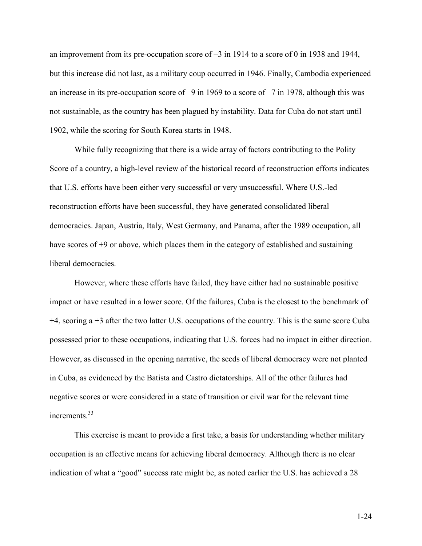an improvement from its pre-occupation score of –3 in 1914 to a score of 0 in 1938 and 1944, but this increase did not last, as a military coup occurred in 1946. Finally, Cambodia experienced an increase in its pre-occupation score of –9 in 1969 to a score of –7 in 1978, although this was not sustainable, as the country has been plagued by instability. Data for Cuba do not start until 1902, while the scoring for South Korea starts in 1948.

While fully recognizing that there is a wide array of factors contributing to the Polity Score of a country, a high-level review of the historical record of reconstruction efforts indicates that U.S. efforts have been either very successful or very unsuccessful. Where U.S.-led reconstruction efforts have been successful, they have generated consolidated liberal democracies. Japan, Austria, Italy, West Germany, and Panama, after the 1989 occupation, all have scores of +9 or above, which places them in the category of established and sustaining liberal democracies.

However, where these efforts have failed, they have either had no sustainable positive impact or have resulted in a lower score. Of the failures, Cuba is the closest to the benchmark of +4, scoring a +3 after the two latter U.S. occupations of the country. This is the same score Cuba possessed prior to these occupations, indicating that U.S. forces had no impact in either direction. However, as discussed in the opening narrative, the seeds of liberal democracy were not planted in Cuba, as evidenced by the Batista and Castro dictatorships. All of the other failures had negative scores or were considered in a state of transition or civil war for the relevant time increments.<sup>33</sup>

This exercise is meant to provide a first take, a basis for understanding whether military occupation is an effective means for achieving liberal democracy. Although there is no clear indication of what a "good" success rate might be, as noted earlier the U.S. has achieved a 28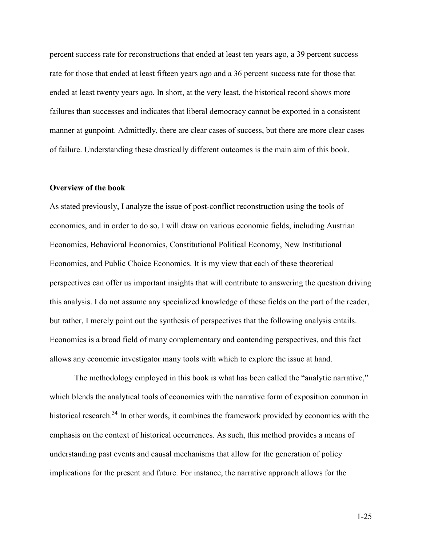percent success rate for reconstructions that ended at least ten years ago, a 39 percent success rate for those that ended at least fifteen years ago and a 36 percent success rate for those that ended at least twenty years ago. In short, at the very least, the historical record shows more failures than successes and indicates that liberal democracy cannot be exported in a consistent manner at gunpoint. Admittedly, there are clear cases of success, but there are more clear cases of failure. Understanding these drastically different outcomes is the main aim of this book.

## Overview of the book

As stated previously, I analyze the issue of post-conflict reconstruction using the tools of economics, and in order to do so, I will draw on various economic fields, including Austrian Economics, Behavioral Economics, Constitutional Political Economy, New Institutional Economics, and Public Choice Economics. It is my view that each of these theoretical perspectives can offer us important insights that will contribute to answering the question driving this analysis. I do not assume any specialized knowledge of these fields on the part of the reader, but rather, I merely point out the synthesis of perspectives that the following analysis entails. Economics is a broad field of many complementary and contending perspectives, and this fact allows any economic investigator many tools with which to explore the issue at hand.

The methodology employed in this book is what has been called the "analytic narrative," which blends the analytical tools of economics with the narrative form of exposition common in historical research.<sup>34</sup> In other words, it combines the framework provided by economics with the emphasis on the context of historical occurrences. As such, this method provides a means of understanding past events and causal mechanisms that allow for the generation of policy implications for the present and future. For instance, the narrative approach allows for the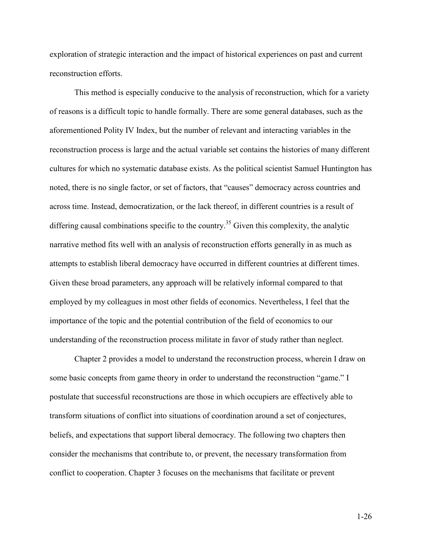exploration of strategic interaction and the impact of historical experiences on past and current reconstruction efforts.

This method is especially conducive to the analysis of reconstruction, which for a variety of reasons is a difficult topic to handle formally. There are some general databases, such as the aforementioned Polity IV Index, but the number of relevant and interacting variables in the reconstruction process is large and the actual variable set contains the histories of many different cultures for which no systematic database exists. As the political scientist Samuel Huntington has noted, there is no single factor, or set of factors, that "causes" democracy across countries and across time. Instead, democratization, or the lack thereof, in different countries is a result of differing causal combinations specific to the country.<sup>35</sup> Given this complexity, the analytic narrative method fits well with an analysis of reconstruction efforts generally in as much as attempts to establish liberal democracy have occurred in different countries at different times. Given these broad parameters, any approach will be relatively informal compared to that employed by my colleagues in most other fields of economics. Nevertheless, I feel that the importance of the topic and the potential contribution of the field of economics to our understanding of the reconstruction process militate in favor of study rather than neglect.

Chapter 2 provides a model to understand the reconstruction process, wherein I draw on some basic concepts from game theory in order to understand the reconstruction "game." I postulate that successful reconstructions are those in which occupiers are effectively able to transform situations of conflict into situations of coordination around a set of conjectures, beliefs, and expectations that support liberal democracy. The following two chapters then consider the mechanisms that contribute to, or prevent, the necessary transformation from conflict to cooperation. Chapter 3 focuses on the mechanisms that facilitate or prevent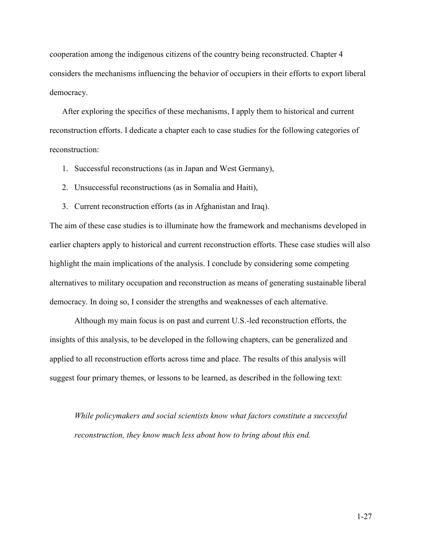cooperation among the indigenous citizens of the country being reconstructed. Chapter 4 considers the mechanisms influencing the behavior of occupiers in their efforts to export liberal democracy.

After exploring the specifics of these mechanisms, I apply them to historical and current reconstruction efforts. I dedicate a chapter each to case studies for the following categories of reconstruction:

- 1. Successful reconstructions (as in Japan and West Germany),
- 2. Unsuccessful reconstructions (as in Somalia and Haiti),
- 3. Current reconstruction efforts (as in Afghanistan and Iraq).

The aim of these case studies is to illuminate how the framework and mechanisms developed in earlier chapters apply to historical and current reconstruction efforts. These case studies will also highlight the main implications of the analysis. I conclude by considering some competing alternatives to military occupation and reconstruction as means of generating sustainable liberal democracy. In doing so, I consider the strengths and weaknesses of each alternative.

Although my main focus is on past and current U.S.-led reconstruction efforts, the insights of this analysis, to be developed in the following chapters, can be generalized and applied to all reconstruction efforts across time and place. The results of this analysis will suggest four primary themes, or lessons to be learned, as described in the following text:

While policymakers and social scientists know what factors constitute a successful reconstruction, they know much less about how to bring about this end.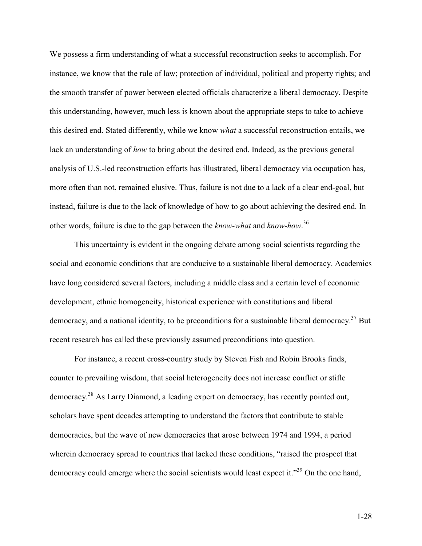We possess a firm understanding of what a successful reconstruction seeks to accomplish. For instance, we know that the rule of law; protection of individual, political and property rights; and the smooth transfer of power between elected officials characterize a liberal democracy. Despite this understanding, however, much less is known about the appropriate steps to take to achieve this desired end. Stated differently, while we know what a successful reconstruction entails, we lack an understanding of *how* to bring about the desired end. Indeed, as the previous general analysis of U.S.-led reconstruction efforts has illustrated, liberal democracy via occupation has, more often than not, remained elusive. Thus, failure is not due to a lack of a clear end-goal, but instead, failure is due to the lack of knowledge of how to go about achieving the desired end. In other words, failure is due to the gap between the *know-what* and *know-how*.<sup>36</sup>

This uncertainty is evident in the ongoing debate among social scientists regarding the social and economic conditions that are conducive to a sustainable liberal democracy. Academics have long considered several factors, including a middle class and a certain level of economic development, ethnic homogeneity, historical experience with constitutions and liberal democracy, and a national identity, to be preconditions for a sustainable liberal democracy.<sup>37</sup> But recent research has called these previously assumed preconditions into question.

For instance, a recent cross-country study by Steven Fish and Robin Brooks finds, counter to prevailing wisdom, that social heterogeneity does not increase conflict or stifle democracy.<sup>38</sup> As Larry Diamond, a leading expert on democracy, has recently pointed out, scholars have spent decades attempting to understand the factors that contribute to stable democracies, but the wave of new democracies that arose between 1974 and 1994, a period wherein democracy spread to countries that lacked these conditions, "raised the prospect that democracy could emerge where the social scientists would least expect it.<sup>339</sup> On the one hand,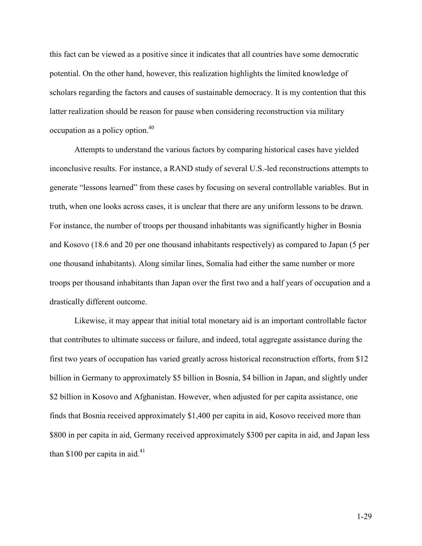this fact can be viewed as a positive since it indicates that all countries have some democratic potential. On the other hand, however, this realization highlights the limited knowledge of scholars regarding the factors and causes of sustainable democracy. It is my contention that this latter realization should be reason for pause when considering reconstruction via military occupation as a policy option.<sup>40</sup>

Attempts to understand the various factors by comparing historical cases have yielded inconclusive results. For instance, a RAND study of several U.S.-led reconstructions attempts to generate "lessons learned" from these cases by focusing on several controllable variables. But in truth, when one looks across cases, it is unclear that there are any uniform lessons to be drawn. For instance, the number of troops per thousand inhabitants was significantly higher in Bosnia and Kosovo (18.6 and 20 per one thousand inhabitants respectively) as compared to Japan (5 per one thousand inhabitants). Along similar lines, Somalia had either the same number or more troops per thousand inhabitants than Japan over the first two and a half years of occupation and a drastically different outcome.

Likewise, it may appear that initial total monetary aid is an important controllable factor that contributes to ultimate success or failure, and indeed, total aggregate assistance during the first two years of occupation has varied greatly across historical reconstruction efforts, from \$12 billion in Germany to approximately \$5 billion in Bosnia, \$4 billion in Japan, and slightly under \$2 billion in Kosovo and Afghanistan. However, when adjusted for per capita assistance, one finds that Bosnia received approximately \$1,400 per capita in aid, Kosovo received more than \$800 in per capita in aid, Germany received approximately \$300 per capita in aid, and Japan less than \$100 per capita in aid. $41$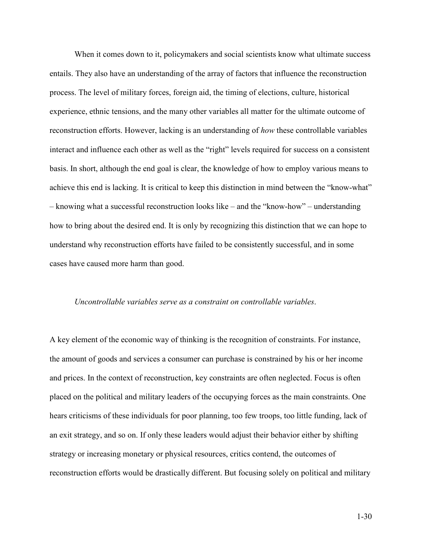When it comes down to it, policymakers and social scientists know what ultimate success entails. They also have an understanding of the array of factors that influence the reconstruction process. The level of military forces, foreign aid, the timing of elections, culture, historical experience, ethnic tensions, and the many other variables all matter for the ultimate outcome of reconstruction efforts. However, lacking is an understanding of how these controllable variables interact and influence each other as well as the "right" levels required for success on a consistent basis. In short, although the end goal is clear, the knowledge of how to employ various means to achieve this end is lacking. It is critical to keep this distinction in mind between the "know-what" – knowing what a successful reconstruction looks like – and the "know-how" – understanding how to bring about the desired end. It is only by recognizing this distinction that we can hope to understand why reconstruction efforts have failed to be consistently successful, and in some cases have caused more harm than good.

### Uncontrollable variables serve as a constraint on controllable variables.

A key element of the economic way of thinking is the recognition of constraints. For instance, the amount of goods and services a consumer can purchase is constrained by his or her income and prices. In the context of reconstruction, key constraints are often neglected. Focus is often placed on the political and military leaders of the occupying forces as the main constraints. One hears criticisms of these individuals for poor planning, too few troops, too little funding, lack of an exit strategy, and so on. If only these leaders would adjust their behavior either by shifting strategy or increasing monetary or physical resources, critics contend, the outcomes of reconstruction efforts would be drastically different. But focusing solely on political and military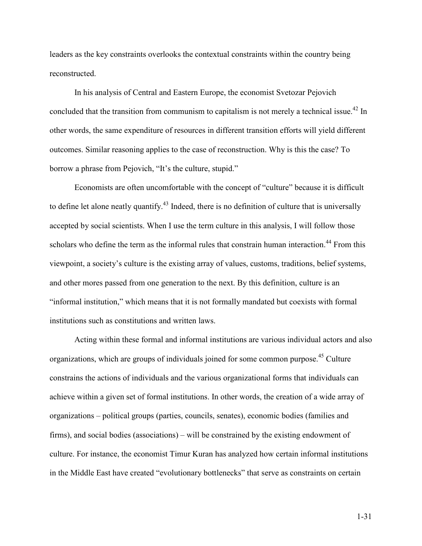leaders as the key constraints overlooks the contextual constraints within the country being reconstructed.

In his analysis of Central and Eastern Europe, the economist Svetozar Pejovich concluded that the transition from communism to capitalism is not merely a technical issue.<sup>42</sup> In other words, the same expenditure of resources in different transition efforts will yield different outcomes. Similar reasoning applies to the case of reconstruction. Why is this the case? To borrow a phrase from Pejovich, "It's the culture, stupid."

Economists are often uncomfortable with the concept of "culture" because it is difficult to define let alone neatly quantify.<sup>43</sup> Indeed, there is no definition of culture that is universally accepted by social scientists. When I use the term culture in this analysis, I will follow those scholars who define the term as the informal rules that constrain human interaction.<sup>44</sup> From this viewpoint, a society's culture is the existing array of values, customs, traditions, belief systems, and other mores passed from one generation to the next. By this definition, culture is an "informal institution," which means that it is not formally mandated but coexists with formal institutions such as constitutions and written laws.

Acting within these formal and informal institutions are various individual actors and also organizations, which are groups of individuals joined for some common purpose.<sup>45</sup> Culture constrains the actions of individuals and the various organizational forms that individuals can achieve within a given set of formal institutions. In other words, the creation of a wide array of organizations – political groups (parties, councils, senates), economic bodies (families and firms), and social bodies (associations) – will be constrained by the existing endowment of culture. For instance, the economist Timur Kuran has analyzed how certain informal institutions in the Middle East have created "evolutionary bottlenecks" that serve as constraints on certain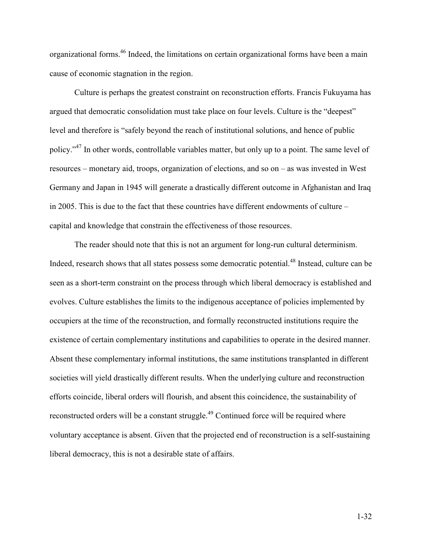organizational forms.<sup>46</sup> Indeed, the limitations on certain organizational forms have been a main cause of economic stagnation in the region.

Culture is perhaps the greatest constraint on reconstruction efforts. Francis Fukuyama has argued that democratic consolidation must take place on four levels. Culture is the "deepest" level and therefore is "safely beyond the reach of institutional solutions, and hence of public policy."<sup>47</sup> In other words, controllable variables matter, but only up to a point. The same level of resources – monetary aid, troops, organization of elections, and so on – as was invested in West Germany and Japan in 1945 will generate a drastically different outcome in Afghanistan and Iraq in 2005. This is due to the fact that these countries have different endowments of culture – capital and knowledge that constrain the effectiveness of those resources.

The reader should note that this is not an argument for long-run cultural determinism. Indeed, research shows that all states possess some democratic potential.<sup>48</sup> Instead, culture can be seen as a short-term constraint on the process through which liberal democracy is established and evolves. Culture establishes the limits to the indigenous acceptance of policies implemented by occupiers at the time of the reconstruction, and formally reconstructed institutions require the existence of certain complementary institutions and capabilities to operate in the desired manner. Absent these complementary informal institutions, the same institutions transplanted in different societies will yield drastically different results. When the underlying culture and reconstruction efforts coincide, liberal orders will flourish, and absent this coincidence, the sustainability of reconstructed orders will be a constant struggle.<sup>49</sup> Continued force will be required where voluntary acceptance is absent. Given that the projected end of reconstruction is a self-sustaining liberal democracy, this is not a desirable state of affairs.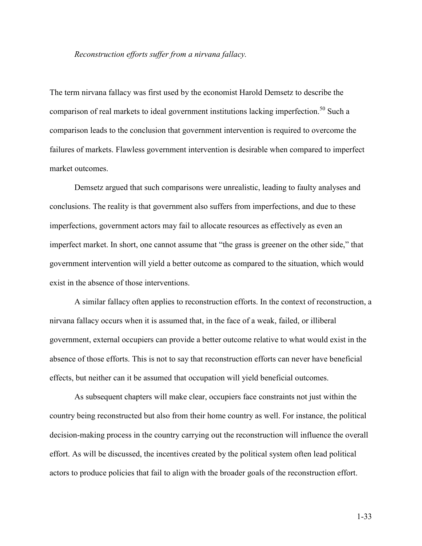### Reconstruction efforts suffer from a nirvana fallacy.

The term nirvana fallacy was first used by the economist Harold Demsetz to describe the comparison of real markets to ideal government institutions lacking imperfection.<sup>50</sup> Such a comparison leads to the conclusion that government intervention is required to overcome the failures of markets. Flawless government intervention is desirable when compared to imperfect market outcomes.

Demsetz argued that such comparisons were unrealistic, leading to faulty analyses and conclusions. The reality is that government also suffers from imperfections, and due to these imperfections, government actors may fail to allocate resources as effectively as even an imperfect market. In short, one cannot assume that "the grass is greener on the other side," that government intervention will yield a better outcome as compared to the situation, which would exist in the absence of those interventions.

A similar fallacy often applies to reconstruction efforts. In the context of reconstruction, a nirvana fallacy occurs when it is assumed that, in the face of a weak, failed, or illiberal government, external occupiers can provide a better outcome relative to what would exist in the absence of those efforts. This is not to say that reconstruction efforts can never have beneficial effects, but neither can it be assumed that occupation will yield beneficial outcomes.

As subsequent chapters will make clear, occupiers face constraints not just within the country being reconstructed but also from their home country as well. For instance, the political decision-making process in the country carrying out the reconstruction will influence the overall effort. As will be discussed, the incentives created by the political system often lead political actors to produce policies that fail to align with the broader goals of the reconstruction effort.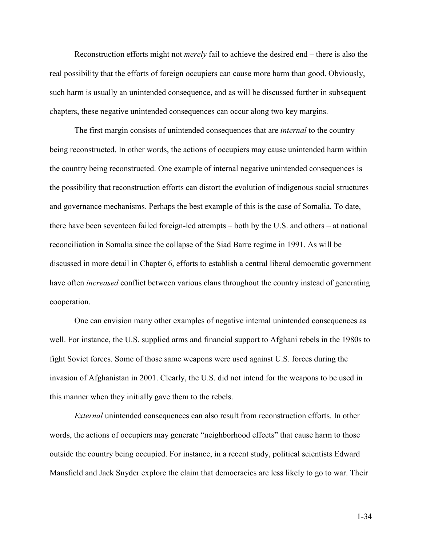Reconstruction efforts might not merely fail to achieve the desired end – there is also the real possibility that the efforts of foreign occupiers can cause more harm than good. Obviously, such harm is usually an unintended consequence, and as will be discussed further in subsequent chapters, these negative unintended consequences can occur along two key margins.

The first margin consists of unintended consequences that are *internal* to the country being reconstructed. In other words, the actions of occupiers may cause unintended harm within the country being reconstructed. One example of internal negative unintended consequences is the possibility that reconstruction efforts can distort the evolution of indigenous social structures and governance mechanisms. Perhaps the best example of this is the case of Somalia. To date, there have been seventeen failed foreign-led attempts – both by the U.S. and others – at national reconciliation in Somalia since the collapse of the Siad Barre regime in 1991. As will be discussed in more detail in Chapter 6, efforts to establish a central liberal democratic government have often *increased* conflict between various clans throughout the country instead of generating cooperation.

One can envision many other examples of negative internal unintended consequences as well. For instance, the U.S. supplied arms and financial support to Afghani rebels in the 1980s to fight Soviet forces. Some of those same weapons were used against U.S. forces during the invasion of Afghanistan in 2001. Clearly, the U.S. did not intend for the weapons to be used in this manner when they initially gave them to the rebels.

External unintended consequences can also result from reconstruction efforts. In other words, the actions of occupiers may generate "neighborhood effects" that cause harm to those outside the country being occupied. For instance, in a recent study, political scientists Edward Mansfield and Jack Snyder explore the claim that democracies are less likely to go to war. Their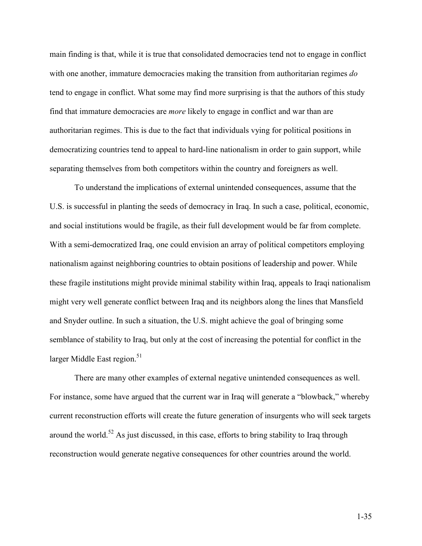main finding is that, while it is true that consolidated democracies tend not to engage in conflict with one another, immature democracies making the transition from authoritarian regimes do tend to engage in conflict. What some may find more surprising is that the authors of this study find that immature democracies are more likely to engage in conflict and war than are authoritarian regimes. This is due to the fact that individuals vying for political positions in democratizing countries tend to appeal to hard-line nationalism in order to gain support, while separating themselves from both competitors within the country and foreigners as well.

To understand the implications of external unintended consequences, assume that the U.S. is successful in planting the seeds of democracy in Iraq. In such a case, political, economic, and social institutions would be fragile, as their full development would be far from complete. With a semi-democratized Iraq, one could envision an array of political competitors employing nationalism against neighboring countries to obtain positions of leadership and power. While these fragile institutions might provide minimal stability within Iraq, appeals to Iraqi nationalism might very well generate conflict between Iraq and its neighbors along the lines that Mansfield and Snyder outline. In such a situation, the U.S. might achieve the goal of bringing some semblance of stability to Iraq, but only at the cost of increasing the potential for conflict in the larger Middle East region. $51$ 

There are many other examples of external negative unintended consequences as well. For instance, some have argued that the current war in Iraq will generate a "blowback," whereby current reconstruction efforts will create the future generation of insurgents who will seek targets around the world.<sup>52</sup> As just discussed, in this case, efforts to bring stability to Iraq through reconstruction would generate negative consequences for other countries around the world.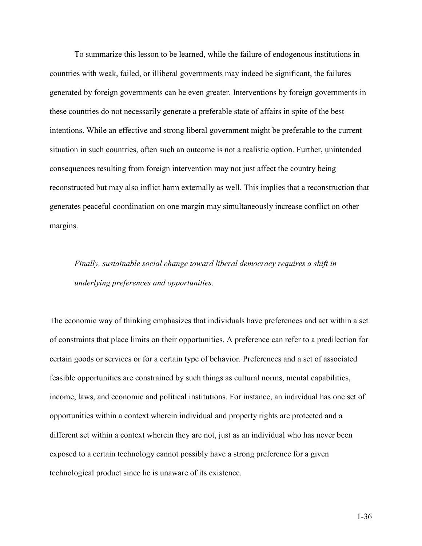To summarize this lesson to be learned, while the failure of endogenous institutions in countries with weak, failed, or illiberal governments may indeed be significant, the failures generated by foreign governments can be even greater. Interventions by foreign governments in these countries do not necessarily generate a preferable state of affairs in spite of the best intentions. While an effective and strong liberal government might be preferable to the current situation in such countries, often such an outcome is not a realistic option. Further, unintended consequences resulting from foreign intervention may not just affect the country being reconstructed but may also inflict harm externally as well. This implies that a reconstruction that generates peaceful coordination on one margin may simultaneously increase conflict on other margins.

Finally, sustainable social change toward liberal democracy requires a shift in underlying preferences and opportunities.

The economic way of thinking emphasizes that individuals have preferences and act within a set of constraints that place limits on their opportunities. A preference can refer to a predilection for certain goods or services or for a certain type of behavior. Preferences and a set of associated feasible opportunities are constrained by such things as cultural norms, mental capabilities, income, laws, and economic and political institutions. For instance, an individual has one set of opportunities within a context wherein individual and property rights are protected and a different set within a context wherein they are not, just as an individual who has never been exposed to a certain technology cannot possibly have a strong preference for a given technological product since he is unaware of its existence.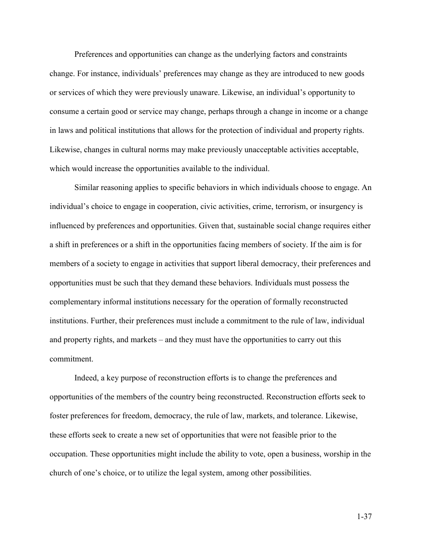Preferences and opportunities can change as the underlying factors and constraints change. For instance, individuals' preferences may change as they are introduced to new goods or services of which they were previously unaware. Likewise, an individual's opportunity to consume a certain good or service may change, perhaps through a change in income or a change in laws and political institutions that allows for the protection of individual and property rights. Likewise, changes in cultural norms may make previously unacceptable activities acceptable, which would increase the opportunities available to the individual.

Similar reasoning applies to specific behaviors in which individuals choose to engage. An individual's choice to engage in cooperation, civic activities, crime, terrorism, or insurgency is influenced by preferences and opportunities. Given that, sustainable social change requires either a shift in preferences or a shift in the opportunities facing members of society. If the aim is for members of a society to engage in activities that support liberal democracy, their preferences and opportunities must be such that they demand these behaviors. Individuals must possess the complementary informal institutions necessary for the operation of formally reconstructed institutions. Further, their preferences must include a commitment to the rule of law, individual and property rights, and markets – and they must have the opportunities to carry out this commitment.

Indeed, a key purpose of reconstruction efforts is to change the preferences and opportunities of the members of the country being reconstructed. Reconstruction efforts seek to foster preferences for freedom, democracy, the rule of law, markets, and tolerance. Likewise, these efforts seek to create a new set of opportunities that were not feasible prior to the occupation. These opportunities might include the ability to vote, open a business, worship in the church of one's choice, or to utilize the legal system, among other possibilities.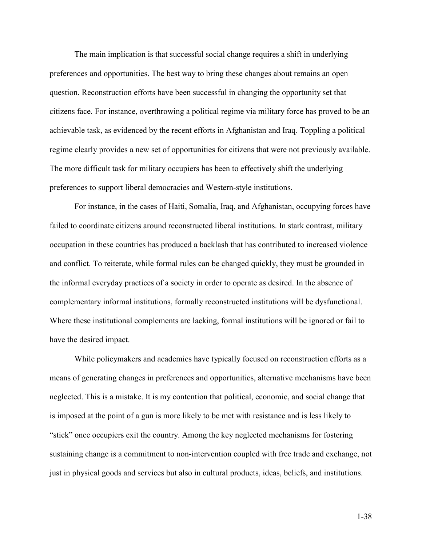The main implication is that successful social change requires a shift in underlying preferences and opportunities. The best way to bring these changes about remains an open question. Reconstruction efforts have been successful in changing the opportunity set that citizens face. For instance, overthrowing a political regime via military force has proved to be an achievable task, as evidenced by the recent efforts in Afghanistan and Iraq. Toppling a political regime clearly provides a new set of opportunities for citizens that were not previously available. The more difficult task for military occupiers has been to effectively shift the underlying preferences to support liberal democracies and Western-style institutions.

For instance, in the cases of Haiti, Somalia, Iraq, and Afghanistan, occupying forces have failed to coordinate citizens around reconstructed liberal institutions. In stark contrast, military occupation in these countries has produced a backlash that has contributed to increased violence and conflict. To reiterate, while formal rules can be changed quickly, they must be grounded in the informal everyday practices of a society in order to operate as desired. In the absence of complementary informal institutions, formally reconstructed institutions will be dysfunctional. Where these institutional complements are lacking, formal institutions will be ignored or fail to have the desired impact.

While policymakers and academics have typically focused on reconstruction efforts as a means of generating changes in preferences and opportunities, alternative mechanisms have been neglected. This is a mistake. It is my contention that political, economic, and social change that is imposed at the point of a gun is more likely to be met with resistance and is less likely to "stick" once occupiers exit the country. Among the key neglected mechanisms for fostering sustaining change is a commitment to non-intervention coupled with free trade and exchange, not just in physical goods and services but also in cultural products, ideas, beliefs, and institutions.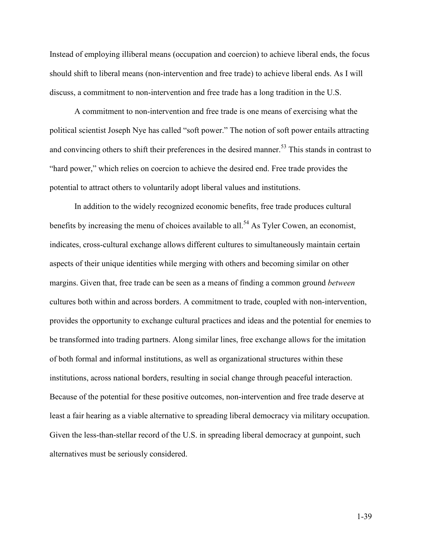Instead of employing illiberal means (occupation and coercion) to achieve liberal ends, the focus should shift to liberal means (non-intervention and free trade) to achieve liberal ends. As I will discuss, a commitment to non-intervention and free trade has a long tradition in the U.S.

A commitment to non-intervention and free trade is one means of exercising what the political scientist Joseph Nye has called "soft power." The notion of soft power entails attracting and convincing others to shift their preferences in the desired manner.<sup>53</sup> This stands in contrast to "hard power," which relies on coercion to achieve the desired end. Free trade provides the potential to attract others to voluntarily adopt liberal values and institutions.

In addition to the widely recognized economic benefits, free trade produces cultural benefits by increasing the menu of choices available to all.<sup>54</sup> As Tyler Cowen, an economist, indicates, cross-cultural exchange allows different cultures to simultaneously maintain certain aspects of their unique identities while merging with others and becoming similar on other margins. Given that, free trade can be seen as a means of finding a common ground *between* cultures both within and across borders. A commitment to trade, coupled with non-intervention, provides the opportunity to exchange cultural practices and ideas and the potential for enemies to be transformed into trading partners. Along similar lines, free exchange allows for the imitation of both formal and informal institutions, as well as organizational structures within these institutions, across national borders, resulting in social change through peaceful interaction. Because of the potential for these positive outcomes, non-intervention and free trade deserve at least a fair hearing as a viable alternative to spreading liberal democracy via military occupation. Given the less-than-stellar record of the U.S. in spreading liberal democracy at gunpoint, such alternatives must be seriously considered.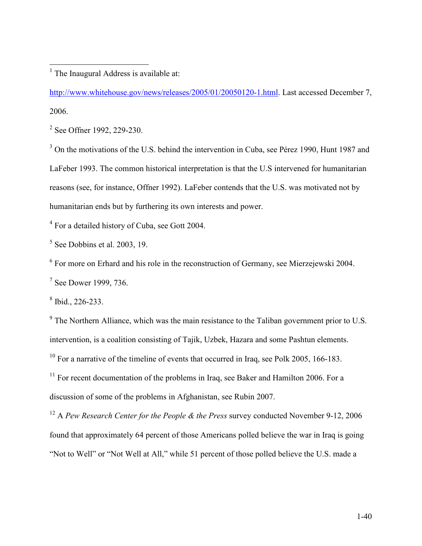<sup>1</sup> The Inaugural Address is available at:

http://www.whitehouse.gov/news/releases/2005/01/20050120-1.html. Last accessed December 7, 2006.

<sup>2</sup> See Offner 1992, 229-230.

<sup>3</sup> On the motivations of the U.S. behind the intervention in Cuba, see Pérez 1990, Hunt 1987 and LaFeber 1993. The common historical interpretation is that the U.S intervened for humanitarian reasons (see, for instance, Offner 1992). LaFeber contends that the U.S. was motivated not by humanitarian ends but by furthering its own interests and power.

<sup>4</sup> For a detailed history of Cuba, see Gott 2004.

 $<sup>5</sup>$  See Dobbins et al. 2003, 19.</sup>

<sup>6</sup> For more on Erhard and his role in the reconstruction of Germany, see Mierzejewski 2004.

 $<sup>7</sup>$  See Dower 1999, 736.</sup>

 $8$  Ibid., 226-233.

 $9<sup>9</sup>$  The Northern Alliance, which was the main resistance to the Taliban government prior to U.S. intervention, is a coalition consisting of Tajik, Uzbek, Hazara and some Pashtun elements. <sup>10</sup> For a narrative of the timeline of events that occurred in Iraq, see Polk 2005, 166-183.  $11$  For recent documentation of the problems in Iraq, see Baker and Hamilton 2006. For a discussion of some of the problems in Afghanistan, see Rubin 2007.

<sup>12</sup> A Pew Research Center for the People & the Press survey conducted November 9-12, 2006 found that approximately 64 percent of those Americans polled believe the war in Iraq is going "Not to Well" or "Not Well at All," while 51 percent of those polled believe the U.S. made a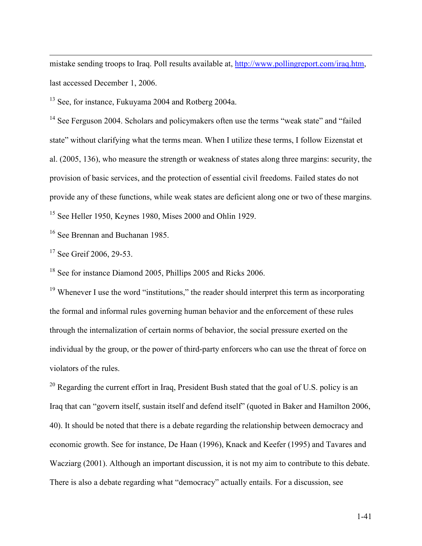mistake sending troops to Iraq. Poll results available at, http://www.pollingreport.com/iraq.htm, last accessed December 1, 2006.

<sup>13</sup> See, for instance, Fukuyama 2004 and Rotberg 2004a.

<sup>14</sup> See Ferguson 2004. Scholars and policymakers often use the terms "weak state" and "failed" state" without clarifying what the terms mean. When I utilize these terms, I follow Eizenstat et al. (2005, 136), who measure the strength or weakness of states along three margins: security, the provision of basic services, and the protection of essential civil freedoms. Failed states do not provide any of these functions, while weak states are deficient along one or two of these margins. <sup>15</sup> See Heller 1950, Keynes 1980, Mises 2000 and Ohlin 1929.

<sup>16</sup> See Brennan and Buchanan 1985.

<sup>17</sup> See Greif 2006, 29-53.

 $\overline{a}$ 

<sup>18</sup> See for instance Diamond 2005, Phillips 2005 and Ricks 2006.

<sup>19</sup> Whenever I use the word "institutions," the reader should interpret this term as incorporating the formal and informal rules governing human behavior and the enforcement of these rules through the internalization of certain norms of behavior, the social pressure exerted on the individual by the group, or the power of third-party enforcers who can use the threat of force on violators of the rules.

<sup>20</sup> Regarding the current effort in Iraq, President Bush stated that the goal of U.S. policy is an Iraq that can "govern itself, sustain itself and defend itself" (quoted in Baker and Hamilton 2006, 40). It should be noted that there is a debate regarding the relationship between democracy and economic growth. See for instance, De Haan (1996), Knack and Keefer (1995) and Tavares and Wacziarg (2001). Although an important discussion, it is not my aim to contribute to this debate. There is also a debate regarding what "democracy" actually entails. For a discussion, see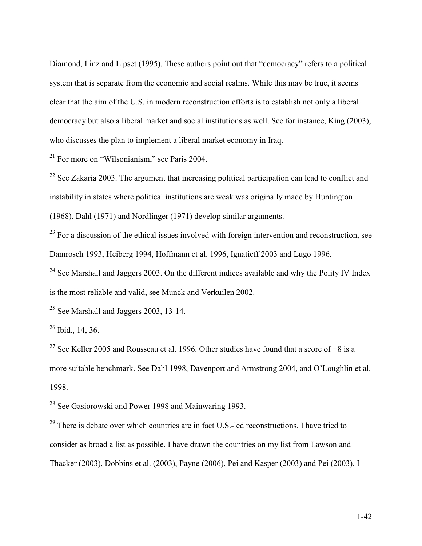Diamond, Linz and Lipset (1995). These authors point out that "democracy" refers to a political system that is separate from the economic and social realms. While this may be true, it seems clear that the aim of the U.S. in modern reconstruction efforts is to establish not only a liberal democracy but also a liberal market and social institutions as well. See for instance, King (2003), who discusses the plan to implement a liberal market economy in Iraq.

<sup>21</sup> For more on "Wilsonianism," see Paris 2004.

 $22$  See Zakaria 2003. The argument that increasing political participation can lead to conflict and instability in states where political institutions are weak was originally made by Huntington (1968). Dahl (1971) and Nordlinger (1971) develop similar arguments.

 $^{23}$  For a discussion of the ethical issues involved with foreign intervention and reconstruction, see Damrosch 1993, Heiberg 1994, Hoffmann et al. 1996, Ignatieff 2003 and Lugo 1996.

 $24$  See Marshall and Jaggers 2003. On the different indices available and why the Polity IV Index is the most reliable and valid, see Munck and Verkuilen 2002.

<sup>25</sup> See Marshall and Jaggers 2003, 13-14.

 $26$  Ibid., 14, 36.

 $\overline{a}$ 

<sup>27</sup> See Keller 2005 and Rousseau et al. 1996. Other studies have found that a score of  $+8$  is a more suitable benchmark. See Dahl 1998, Davenport and Armstrong 2004, and O'Loughlin et al. 1998.

<sup>28</sup> See Gasiorowski and Power 1998 and Mainwaring 1993.

 $29$  There is debate over which countries are in fact U.S.-led reconstructions. I have tried to consider as broad a list as possible. I have drawn the countries on my list from Lawson and Thacker (2003), Dobbins et al. (2003), Payne (2006), Pei and Kasper (2003) and Pei (2003). I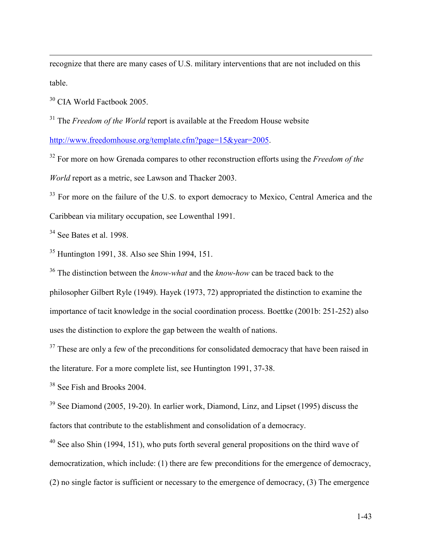recognize that there are many cases of U.S. military interventions that are not included on this table.

<sup>30</sup> CIA World Factbook 2005.

 $\overline{a}$ 

 $31$  The *Freedom of the World* report is available at the Freedom House website

http://www.freedomhouse.org/template.cfm?page=15&year=2005.

 $32$  For more on how Grenada compares to other reconstruction efforts using the Freedom of the World report as a metric, see Lawson and Thacker 2003.

<sup>33</sup> For more on the failure of the U.S. to export democracy to Mexico, Central America and the Caribbean via military occupation, see Lowenthal 1991.

<sup>34</sup> See Bates et al. 1998.

<sup>35</sup> Huntington 1991, 38. Also see Shin 1994, 151.

 $36$  The distinction between the *know-what* and the *know-how* can be traced back to the philosopher Gilbert Ryle (1949). Hayek (1973, 72) appropriated the distinction to examine the importance of tacit knowledge in the social coordination process. Boettke (2001b: 251-252) also uses the distinction to explore the gap between the wealth of nations.

<sup>37</sup> These are only a few of the preconditions for consolidated democracy that have been raised in the literature. For a more complete list, see Huntington 1991, 37-38.

<sup>38</sup> See Fish and Brooks 2004.

<sup>39</sup> See Diamond (2005, 19-20). In earlier work, Diamond, Linz, and Lipset (1995) discuss the factors that contribute to the establishment and consolidation of a democracy.

<sup>40</sup> See also Shin (1994, 151), who puts forth several general propositions on the third wave of democratization, which include: (1) there are few preconditions for the emergence of democracy, (2) no single factor is sufficient or necessary to the emergence of democracy, (3) The emergence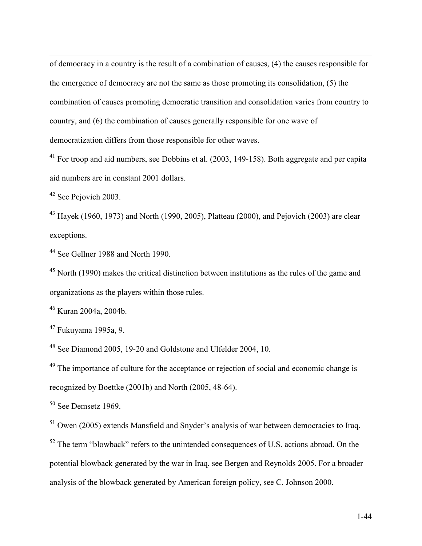of democracy in a country is the result of a combination of causes, (4) the causes responsible for the emergence of democracy are not the same as those promoting its consolidation, (5) the combination of causes promoting democratic transition and consolidation varies from country to country, and (6) the combination of causes generally responsible for one wave of democratization differs from those responsible for other waves.

<sup>41</sup> For troop and aid numbers, see Dobbins et al. (2003, 149-158). Both aggregate and per capita aid numbers are in constant 2001 dollars.

<sup>42</sup> See Pejovich 2003.

 $\overline{a}$ 

 $43$  Hayek (1960, 1973) and North (1990, 2005), Platteau (2000), and Pejovich (2003) are clear exceptions.

<sup>44</sup> See Gellner 1988 and North 1990.

 $45$  North (1990) makes the critical distinction between institutions as the rules of the game and organizations as the players within those rules.

<sup>46</sup> Kuran 2004a, 2004b.

<sup>47</sup> Fukuyama 1995a, 9.

<sup>48</sup> See Diamond 2005, 19-20 and Goldstone and Ulfelder 2004, 10.

<sup>49</sup> The importance of culture for the acceptance or rejection of social and economic change is recognized by Boettke (2001b) and North (2005, 48-64).

<sup>50</sup> See Demsetz 1969.

<sup>51</sup> Owen (2005) extends Mansfield and Snyder's analysis of war between democracies to Iraq.

<sup>52</sup> The term "blowback" refers to the unintended consequences of U.S. actions abroad. On the potential blowback generated by the war in Iraq, see Bergen and Reynolds 2005. For a broader analysis of the blowback generated by American foreign policy, see C. Johnson 2000.